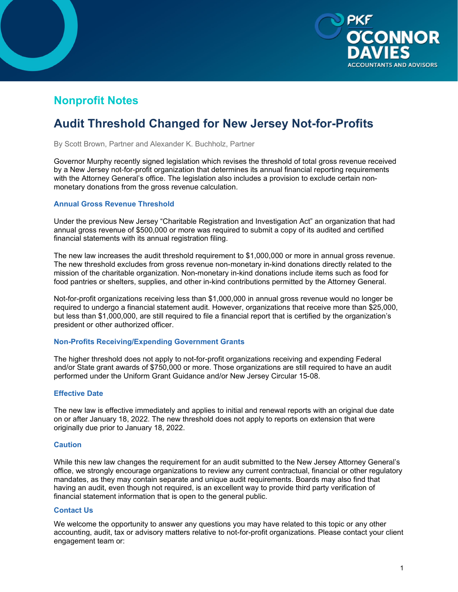

## **Nonprofit Notes**

# **Audit Threshold Changed for New Jersey Not-for-Profits**

By Scott Brown, Partner and Alexander K. Buchholz, Partner

Governor Murphy recently signed legislation which revises the threshold of total gross revenue received by a New Jersey not-for-profit organization that determines its annual financial reporting requirements with the Attorney General's office. The legislation also includes a provision to exclude certain nonmonetary donations from the gross revenue calculation.

#### **Annual Gross Revenue Threshold**

Under the previous New Jersey "Charitable Registration and Investigation Act" an organization that had annual gross revenue of \$500,000 or more was required to submit a copy of its audited and certified financial statements with its annual registration filing.

The new law increases the audit threshold requirement to \$1,000,000 or more in annual gross revenue. The new threshold excludes from gross revenue non-monetary in-kind donations directly related to the mission of the charitable organization. Non-monetary in-kind donations include items such as food for food pantries or shelters, supplies, and other in-kind contributions permitted by the Attorney General.

Not-for-profit organizations receiving less than \$1,000,000 in annual gross revenue would no longer be required to undergo a financial statement audit. However, organizations that receive more than \$25,000, but less than \$1,000,000, are still required to file a financial report that is certified by the organization's president or other authorized officer.

#### **Non-Profits Receiving/Expending Government Grants**

The higher threshold does not apply to not-for-profit organizations receiving and expending Federal and/or State grant awards of \$750,000 or more. Those organizations are still required to have an audit performed under the Uniform Grant Guidance and/or New Jersey Circular 15-08.

#### **Effective Date**

The new law is effective immediately and applies to initial and renewal reports with an original due date on or after January 18, 2022. The new threshold does not apply to reports on extension that were originally due prior to January 18, 2022.

#### **Caution**

While this new law changes the requirement for an audit submitted to the New Jersey Attorney General's office, we strongly encourage organizations to review any current contractual, financial or other regulatory mandates, as they may contain separate and unique audit requirements. Boards may also find that having an audit, even though not required, is an excellent way to provide third party verification of financial statement information that is open to the general public.

### **Contact Us**

We welcome the opportunity to answer any questions you may have related to this topic or any other accounting, audit, tax or advisory matters relative to not-for-profit organizations. Please contact your client engagement team or: